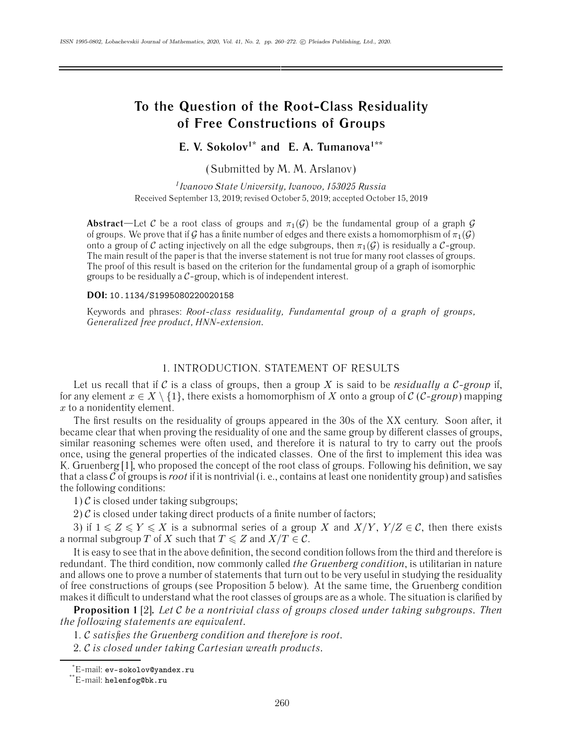# **To the Question of the Root-Class Residuality of Free Constructions of Groups**

**E. V. Sokolov1\* and E. A. Tumanova1\*\***

(Submitted by M. M. Arslanov)

*1Ivanovo State University, Ivanovo, 153025 Russia* Received September 13, 2019; revised October 5, 2019; accepted October 15, 2019

**Abstract**—Let C be a root class of groups and  $\pi_1(\mathcal{G})$  be the fundamental group of a graph G of groups. We prove that if G has a finite number of edges and there exists a homomorphism of  $\pi_1(G)$ onto a group of C acting injectively on all the edge subgroups, then  $\pi_1(G)$  is residually a C-group. The main result of the paper is that the inverse statement is not true for many root classes of groups. The proof of this result is based on the criterion for the fundamental group of a graph of isomorphic groups to be residually a  $C$ -group, which is of independent interest.

#### **DOI:** 10.1134/S1995080220020158

Keywords and phrases: *Root-class residuality, Fundamental group of a graph of groups, Generalized free product, HNN-extension.*

### 1. INTRODUCTION. STATEMENT OF RESULTS

Let us recall that if C is a class of groups, then a group X is said to be *residually a C-group* if, for any element  $x \in X \setminus \{1\}$ , there exists a homomorphism of X onto a group of C (C-group) mapping x to a nonidentity element.

The first results on the residuality of groups appeared in the 30s of the XX century. Soon after, it became clear that when proving the residuality of one and the same group by different classes of groups, similar reasoning schemes were often used, and therefore it is natural to try to carry out the proofs once, using the general properties of the indicated classes. One of the first to implement this idea was K. Gruenberg [1], who proposed the concept of the root class of groups. Following his definition, we say that a class  $C$  of groups is *root* if it is nontrivial (i. e., contains at least one nonidentity group) and satisfies the following conditions:

1)  $\mathcal C$  is closed under taking subgroups;

2)  $\mathcal{C}$  is closed under taking direct products of a finite number of factors;

3) if  $1 \leq Z \leq Y \leq X$  is a subnormal series of a group X and  $X/Y$ ,  $Y/Z \in \mathcal{C}$ , then there exists a normal subgroup  $T$  of  $X$  such that  $T\leqslant Z$  and  $X/T\in\mathcal{C}.$ 

It is easy to see that in the above definition, the second condition follows from the third and therefore is redundant. The third condition, now commonly called *the Gruenberg condition*, is utilitarian in nature and allows one to prove a number of statements that turn out to be very useful in studying the residuality of free constructions of groups (see Proposition 5 below). At the same time, the Gruenberg condition makes it difficult to understand what the root classes of groups are as a whole. The situation is clarified by

**Proposition 1** [2]**.** *Let* C *be a nontrivial class of groups closed under taking subgroups. Then the following statements are equivalent.*

1. C *satisfies the Gruenberg condition and therefore is root.*

2. C *is closed under taking Cartesian wreath products.*

<sup>\*</sup> E-mail: ev-sokolov@yandex.ru

<sup>\*\*</sup>E-mail: helenfog@bk.ru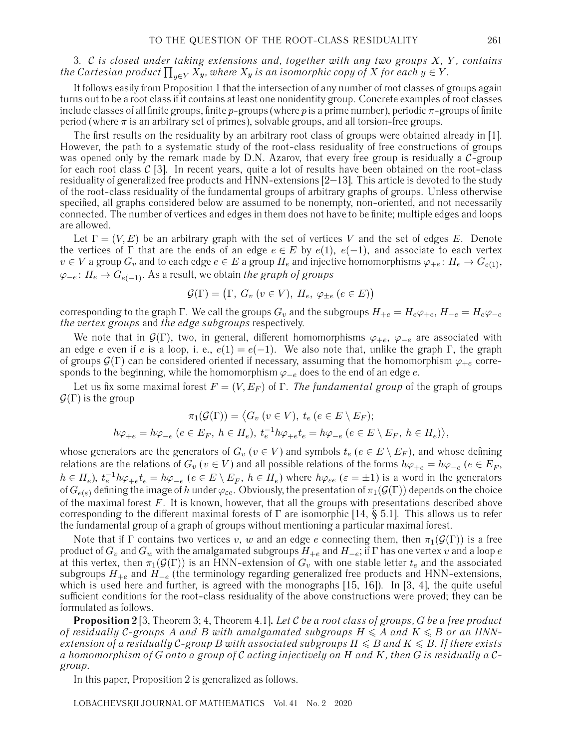# 3. C *is closed under taking extensions and, together with any two groups* X*,* Y *, contains* the Cartesian product  $\prod_{y\in Y}X_y$ , where  $X_y$  is an isomorphic copy of  $X$  for each  $y\in Y.$

It follows easily from Proposition 1 that the intersection of any number of root classes of groups again turns out to be a root class if it contains at least one nonidentity group. Concrete examples of root classes include classes of all finite groups, finite p-groups (where p is a prime number), periodic  $\pi$ -groups of finite period (where  $\pi$  is an arbitrary set of primes), solvable groups, and all torsion-free groups.

The first results on the residuality by an arbitrary root class of groups were obtained already in [1]. However, the path to a systematic study of the root-class residuality of free constructions of groups was opened only by the remark made by D.N. Azarov, that every free group is residually a  $C$ -group for each root class  $\mathcal{C}$  [3]. In recent years, quite a lot of results have been obtained on the root-class residuality of generalized free products and HNN-extensions [2–13]. This article is devoted to the study of the root-class residuality of the fundamental groups of arbitrary graphs of groups. Unless otherwise specified, all graphs considered below are assumed to be nonempty, non-oriented, and not necessarily connected. The number of vertices and edges in them does not have to be finite; multiple edges and loops are allowed.

Let  $\Gamma=(V,E)$  be an arbitrary graph with the set of vertices V and the set of edges E. Denote the vertices of Γ that are the ends of an edge  $e \in E$  by  $e(1)$ ,  $e(-1)$ , and associate to each vertex  $v \in V$  a group  $G_v$  and to each edge  $e \in E$  a group  $H_e$  and injective homomorphisms  $\varphi_{+e} \colon H_e \to G_{e(1)}$ , ϕ−<sup>e</sup> : H<sup>e</sup> → Ge(−1). As a result, we obtain *the graph of groups*

$$
\mathcal{G}(\Gamma) = (\Gamma, G_v \ (v \in V), H_e, \ \varphi_{\pm e} \ (e \in E))
$$

corresponding to the graph Γ. We call the groups  $G_v$  and the subgroups  $H_{+e} = H_e \varphi_{+e}$ ,  $H_{-e} = H_e \varphi_{-e}$ *the vertex groups* and *the edge subgroups* respectively.

We note that in  $\mathcal{G}(\Gamma)$ , two, in general, different homomorphisms  $\varphi_{+e}, \varphi_{-e}$  are associated with an edge e even if e is a loop, i. e.,  $e(1) = e(-1)$ . We also note that, unlike the graph Γ, the graph of groups  $\mathcal{G}(\Gamma)$  can be considered oriented if necessary, assuming that the homomorphism  $\varphi_{+e}$  corresponds to the beginning, while the homomorphism  $\varphi_{-e}$  does to the end of an edge e.

Let us fix some maximal forest  $F = (V, E_F)$  of  $\Gamma$ . *The fundamental group* of the graph of groups  $\mathcal{G}(\Gamma)$  is the group

$$
\pi_1(\mathcal{G}(\Gamma)) = \langle G_v \ (v \in V), \ t_e \ (e \in E \setminus E_F);
$$
  

$$
h\varphi_{+e} = h\varphi_{-e} \ (e \in E_F, \ h \in H_e), \ t_e^{-1}h\varphi_{+e}t_e = h\varphi_{-e} \ (e \in E \setminus E_F, \ h \in H_e) \rangle,
$$

whose generators are the generators of  $G_v$  ( $v \in V$ ) and symbols  $t_e$  ( $e \in E \setminus E_F$ ), and whose defining relations are the relations of  $G_v$  ( $v \in V$ ) and all possible relations of the forms  $h\varphi_{+e} = h\varphi_{-e}$  ( $e \in E_F$ ,  $h\in H_e$ ),  $t_e^{-1}h\varphi_{+e}t_e=h\varphi_{-e}$   $(e\in E\setminus E_F,\ h\in H_e)$  where  $h\varphi_{\varepsilon e}$   $(\varepsilon=\pm 1)$  is a word in the generators of  $G_{e(\varepsilon)}$  defining the image of h under  $\varphi_{\varepsilon e}$ . Obviously, the presentation of  $\pi_1(\mathcal{G}(\Gamma))$  depends on the choice of the maximal forest  $F$ . It is known, however, that all the groups with presentations described above corresponding to the different maximal forests of  $\Gamma$  are isomorphic [14, § 5.1]. This allows us to refer the fundamental group of a graph of groups without mentioning a particular maximal forest.

Note that if Γ contains two vertices v, w and an edge e connecting them, then  $\pi_1(\mathcal{G}(\Gamma))$  is a free product of  $G_v$  and  $G_w$  with the amalgamated subgroups  $H_{+e}$  and  $H_{-e}$ ; if  $\Gamma$  has one vertex v and a loop e at this vertex, then  $\pi_1(\mathcal{G}(\Gamma))$  is an HNN-extension of  $G_v$  with one stable letter  $t_e$  and the associated subgroups  $H_{+e}$  and  $H_{-e}$  (the terminology regarding generalized free products and HNN-extensions, which is used here and further, is agreed with the monographs [15, 16]). In [3, 4], the quite useful sufficient conditions for the root-class residuality of the above constructions were proved; they can be formulated as follows.

**Proposition 2** [3, Theorem 3; 4, Theorem 4.1]**.** *Let* C *be a root class of groups,* G *be a free product of residually* C-groups A and B with amalgamated subgroups  $H \leqslant A$  and  $K \leqslant B$  or an HNN $e$ xtension of a residually C-group B with associated subgroups  $H\leqslant B$  and  $K\leqslant B.$  If there exists *a homomorphism of* G *onto a group of* C *acting injectively on* H *and* K*, then* G *is residually a* C*group.*

In this paper, Proposition 2 is generalized as follows.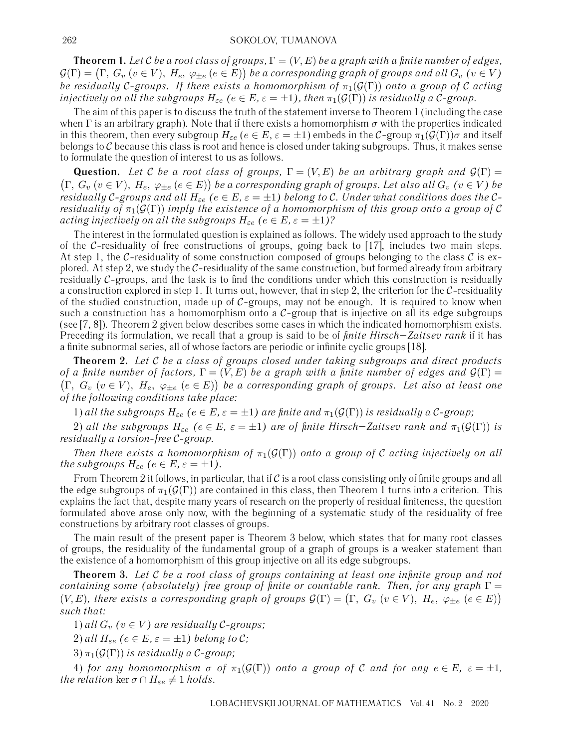#### 262 SOKOLOV, TUMANOVA

**Theorem 1.** Let C be a root class of groups,  $\Gamma = (V, E)$  be a graph with a finite number of edges,  $\mathcal{G}(\Gamma) = \big(\Gamma,\,G_v\:(v\in V),\:H_e,\:\varphi_{\pm e}\:(e\in E)\big)$  be a corresponding graph of groups and all  $G_v\:(v\in V)$ *be residually* C-groups. If there exists a homomorphism of  $\pi_1(\mathcal{G}(\Gamma))$  onto a group of C acting *injectively on all the subgroups*  $H_{\varepsilon e}$  ( $e \in E$ ,  $\varepsilon = \pm 1$ ), then  $\pi_1(\mathcal{G}(\Gamma))$  is residually a C-group.

The aim of this paper is to discuss the truth of the statement inverse to Theorem 1 (including the case when  $\Gamma$  is an arbitrary graph). Note that if there exists a homomorphism  $\sigma$  with the properties indicated in this theorem, then every subgroup  $H_{\varepsilon e}$  ( $e \in E$ ,  $\varepsilon = \pm 1$ ) embeds in the C-group  $\pi_1(\mathcal{G}(\Gamma))\sigma$  and itself belongs to  $C$  because this class is root and hence is closed under taking subgroups. Thus, it makes sense to formulate the question of interest to us as follows.

**Question.** Let C be a root class of groups,  $\Gamma = (V, E)$  be an arbitrary graph and  $\mathcal{G}(\Gamma) =$  $(\Gamma, G_v \ (v \in V), H_e, \ \varphi_{\pm e} \ (e \in E))$  be a corresponding graph of groups. Let also all  $G_v \ (v \in V)$  be *residually* C-groups and all  $H_{\varepsilon e}$  ( $e \in E$ ,  $\varepsilon = \pm 1$ ) belong to C. Under what conditions does the C*residuality of*  $\pi_1(\mathcal{G}(\Gamma))$  *imply the existence of a homomorphism of this group onto a group of* C *acting injectively on all the subgroups*  $H_{\varepsilon e}$  ( $e \in E$ ,  $\varepsilon = \pm 1$ )?

The interest in the formulated question is explained as follows. The widely used approach to the study of the  $C$ -residuality of free constructions of groups, going back to  $[17]$ , includes two main steps. At step 1, the C-residuality of some construction composed of groups belonging to the class  $\mathcal C$  is explored. At step 2, we study the  $C$ -residuality of the same construction, but formed already from arbitrary residually  $C$ -groups, and the task is to find the conditions under which this construction is residually a construction explored in step 1. It turns out, however, that in step 2, the criterion for the  $C$ -residuality of the studied construction, made up of  $C$ -groups, may not be enough. It is required to know when such a construction has a homomorphism onto a  $C$ -group that is injective on all its edge subgroups (see [7, 8]). Theorem 2 given below describes some cases in which the indicated homomorphism exists. Preceding its formulation, we recall that a group is said to be of *finite Hirsch–Zaitsev rank* if it has a finite subnormal series, all of whose factors are periodic or infinite cyclic groups [18].

**Theorem 2.** *Let* C *be a class of groups closed under taking subgroups and direct products of a finite number of factors,*  $\Gamma = (V, E)$  *be a graph with a finite number of edges and*  $\mathcal{G}(\Gamma) =$  $(\Gamma, G_v \ (v \in V), H_e, \ \varphi_{\pm e} \ (e \in E))$  be a corresponding graph of groups. Let also at least one *of the following conditions take place:*

1) all the subgroups  $H_{\varepsilon e}$  ( $e \in E$ ,  $\varepsilon = \pm 1$ ) are finite and  $\pi_1(\mathcal{G}(\Gamma))$  is residually a C-group;

2) all the subgroups  $H_{\varepsilon e}$  ( $e \in E$ ,  $\varepsilon = \pm 1$ ) are of finite Hirsch–Zaitsev rank and  $\pi_1(\mathcal{G}(\Gamma))$  is *residually a torsion-free* C*-group.*

*Then there exists a homomorphism of*  $\pi_1(\mathcal{G}(\Gamma))$  *onto a group of* C *acting injectively on all the subgroups*  $H_{\epsilon e}$  ( $e \in E$ ,  $\varepsilon = \pm 1$ ).

From Theorem 2 it follows, in particular, that if  $C$  is a root class consisting only of finite groups and all the edge subgroups of  $\pi_1(\mathcal{G}(\Gamma))$  are contained in this class, then Theorem 1 turns into a criterion. This explains the fact that, despite many years of research on the property of residual finiteness, the question formulated above arose only now, with the beginning of a systematic study of the residuality of free constructions by arbitrary root classes of groups.

The main result of the present paper is Theorem 3 below, which states that for many root classes of groups, the residuality of the fundamental group of a graph of groups is a weaker statement than the existence of a homomorphism of this group injective on all its edge subgroups.

**Theorem 3.** *Let* C *be a root class of groups containing at least one infinite group and not containing some (absolutely) free group of finite or countable rank. Then, for any graph* Γ =  $(V, E)$ , there exists a corresponding graph of groups  $\mathcal{G}(\Gamma) = (\Gamma, G_v \ (v \in V), H_e, \ \varphi_{\pm e} \ (e \in E))$ *such that:*

1) *all*  $G_v$   $(v \in V)$  are residually C-groups;

2) *all*  $H_{\varepsilon e}$  ( $e \in E$ ,  $\varepsilon = \pm 1$ ) belong to C;

3)  $\pi_1(\mathcal{G}(\Gamma))$  *is residually a C-group*;

4) *for any homomorphism*  $\sigma$  *of*  $\pi_1(\mathcal{G}(\Gamma))$  *onto a group of* C *and for any*  $e \in E$ *,*  $\varepsilon = \pm 1$ *, the relation* ker  $\sigma \cap H_{\varepsilon e} \neq 1$  *holds.*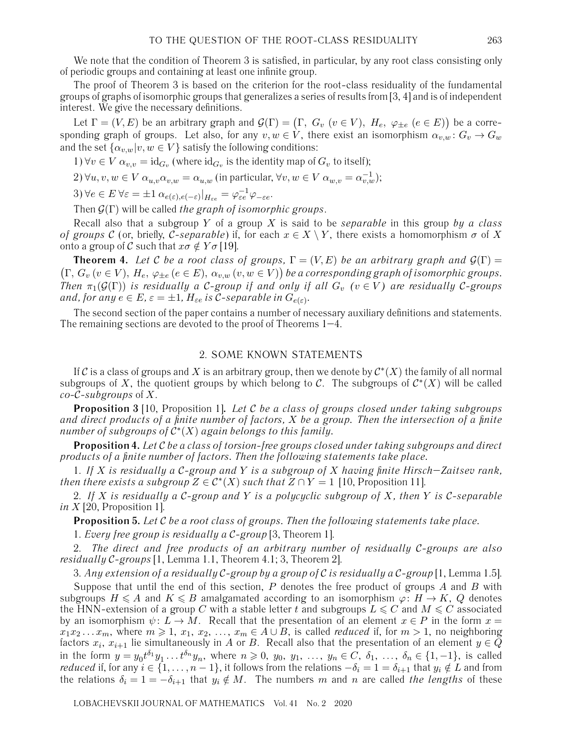We note that the condition of Theorem 3 is satisfied, in particular, by any root class consisting only of periodic groups and containing at least one infinite group.

The proof of Theorem 3 is based on the criterion for the root-class residuality of the fundamental groups of graphs of isomorphic groups that generalizes a series of results from [3, 4] and is of independent interest. We give the necessary definitions.

Let  $\Gamma=(V,E)$  be an arbitrary graph and  $\mathcal{G}(\Gamma)=\big(\Gamma,\;G_v\;(v\in V),\;H_e,\;\varphi_{\pm e}\;(e\in E)\big)$  be a corresponding graph of groups. Let also, for any  $v, w \in V$ , there exist an isomorphism  $\alpha_{v,w}$ :  $G_v \to G_w$ and the set  $\{\alpha_{v,w}|v,w \in V\}$  satisfy the following conditions:

1)  $\forall v \in V \alpha_{v,v} = \text{id}_{G_v}$  (where  $\text{id}_{G_v}$  is the identity map of  $G_v$  to itself);

 $2) \forall u, v, w \in V \alpha_{u,v} \alpha_{v,w} = \alpha_{u,w}$  (in particular,  $\forall v, w \in V \alpha_{w,v} = \alpha_{v,w}^{-1}$ );

3)  $\forall e \in E \ \forall \varepsilon = \pm 1 \ \alpha_{e(\varepsilon), e(-\varepsilon)}|_{H_{\varepsilon e}} = \varphi_{\varepsilon e}^{-1} \varphi_{-\varepsilon e}.$ 

Then G(Γ) will be called *the graph of isomorphic groups*.

Recall also that a subgroup Y of a group X is said to be *separable* in this group *by a class of groups* C (or, briefly, C-separable) if, for each  $x \in X \setminus Y$ , there exists a homomorphism  $\sigma$  of X onto a group of C such that  $x\sigma \notin Y\sigma$  [19].

**Theorem 4.** Let C be a root class of groups,  $\Gamma = (V, E)$  be an arbitrary graph and  $\mathcal{G}(\Gamma) =$  $(\Gamma, G_v (v \in V), H_e, \varphi_{\pm e} (e \in E), \alpha_{v,w} (v, w \in V))$  be a corresponding graph of isomorphic groups. *Then*  $\pi_1(\mathcal{G}(\Gamma))$  *is residually a C-group if and only if all*  $G_v$  ( $v \in V$ ) are residually C-groups *and, for any*  $e \in E$ ,  $\varepsilon = \pm 1$ ,  $H_{\varepsilon e}$  *is* C-separable in  $G_{e(\varepsilon)}$ .

The second section of the paper contains a number of necessary auxiliary definitions and statements. The remaining sections are devoted to the proof of Theorems 1–4.

### 2. SOME KNOWN STATEMENTS

If C is a class of groups and X is an arbitrary group, then we denote by  $C^*(X)$  the family of all normal subgroups of X, the quotient groups by which belong to C. The subgroups of  $C^*(X)$  will be called *co-*C*-subgroups* of X.

**Proposition 3** [10, Proposition 1]**.** *Let* C *be a class of groups closed under taking subgroups and direct products of a finite number of factors,* X *be a group. Then the intersection of a finite number of subgroups of* C∗(X) *again belongs to this family.*

**Proposition 4.** *Let* C *be a class of torsion-free groups closed under taking subgroups and direct products of a finite number of factors. Then the following statements take place.*

1. *If* X *is residually a* C*-group and* Y *is a subgroup of* X *having finite Hirsch–Zaitsev rank, then there exists a subgroup*  $Z \in C^*(X)$  *such that*  $Z \cap Y = 1$  [10, Proposition 11].

2. *If* X *is residually a* C*-group and* Y *is a polycyclic subgroup of* X*, then* Y *is* C*-separable in* X [20, Proposition 1].

**Proposition 5.** *Let* C *be a root class of groups. Then the following statements take place.*

1. *Every free group is residually a* C*-group* [3, Theorem 1].

2. *The direct and free products of an arbitrary number of residually* C*-groups are also residually* C*-groups* [1, Lemma 1.1, Theorem 4.1; 3, Theorem 2].

3. *Any extension of a residually* C*-group by a group of* C *is residually a* C*-group* [1, Lemma 1.5].

Suppose that until the end of this section,  $P$  denotes the free product of groups  $A$  and  $B$  with subgroups  $H \leqslant A$  and  $K \leqslant B$  amalgamated according to an isomorphism  $\varphi \colon H \to K, \ Q$  denotes the HNN-extension of a group  $C$  with a stable letter  $t$  and subgroups  $L \leqslant C$  and  $M \leqslant C$  associated by an isomorphism  $\psi: L \to M$ . Recall that the presentation of an element  $x \in P$  in the form  $x =$  $x_1x_2...x_m$ , where  $m \geqslant 1$ ,  $x_1, x_2, ..., x_m \in A \cup B$ , is called *reduced* if, for  $m > 1$ , no neighboring factors  $x_i,$   $x_{i+1}$  lie simultaneously in  $A$  or  $B$ . Recall also that the presentation of an element  $y \in Q$ in the form  $y = y_0t^{\delta_1}y_1 \ldots t^{\delta_n}y_n$ , where  $n \geq 0$ ,  $y_0, y_1, \ldots, y_n \in C, \delta_1, \ldots, \delta_n \in \{1, -1\}$ , is called *reduced* if, for any  $i \in \{1,\ldots,n-1\},$  it follows from the relations  $-\delta_i=1=\delta_{i+1}$  that  $y_i \notin L$  and from the relations  $\delta_i = 1 = -\delta_{i+1}$  that  $y_i \notin M$ . The numbers m and n are called *the lengths* of these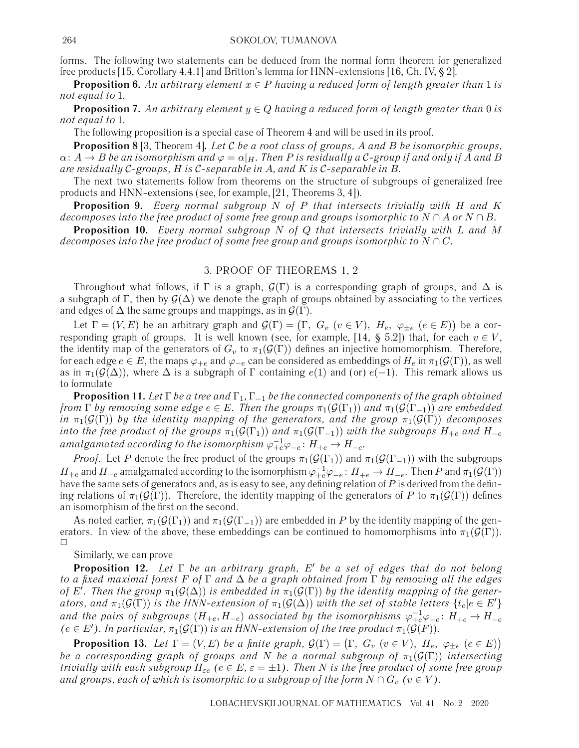forms. The following two statements can be deduced from the normal form theorem for generalized free products [15, Corollary 4.4.1] and Britton's lemma for HNN-extensions [16, Ch. IV, § 2].

**Proposition 6.** An arbitrary element  $x \in P$  having a reduced form of length greater than 1 is *not equal to* 1*.*

**Proposition 7.** An arbitrary element  $y \in Q$  having a reduced form of length greater than 0 is *not equal to* 1*.*

The following proposition is a special case of Theorem 4 and will be used in its proof.

**Proposition 8** [3, Theorem 4]**.** *Let* C *be a root class of groups,* A *and* B *be isomorphic groups,*  $\alpha: A \to B$  be an isomorphism and  $\varphi = \alpha|_H$ . Then P is residually a C-group if and only if A and B *are residually* C*-groups,* H *is* C*-separable in* A*, and* K *is* C*-separable in* B*.*

The next two statements follow from theorems on the structure of subgroups of generalized free products and HNN-extensions (see, for example, [21, Theorems 3, 4]).

**Proposition 9.** *Every normal subgroup* N *of* P *that intersects trivially with* H *and* K *decomposes into the free product of some free group and groups isomorphic to*  $N \cap A$  *or*  $N \cap B$ .

**Proposition 10.** *Every normal subgroup* N *of* Q *that intersects trivially with* L *and* M *decomposes into the free product of some free group and groups isomorphic to*  $N \cap C$ *.* 

## 3. PROOF OF THEOREMS 1, 2

Throughout what follows, if Γ is a graph,  $G(\Gamma)$  is a corresponding graph of groups, and  $\Delta$  is a subgraph of Γ, then by  $G(\Delta)$  we denote the graph of groups obtained by associating to the vertices and edges of  $\Delta$  the same groups and mappings, as in  $\mathcal{G}(\Gamma)$ .

Let  $\Gamma=(V,E)$  be an arbitrary graph and  $\mathcal{G}(\Gamma)=\big(\Gamma,\;G_v\;(v\in V),\;H_e,\;\varphi_{\pm e}\;(e\in E)\big)$  be a corresponding graph of groups. It is well known (see, for example, [14, § 5.2]) that, for each  $v \in V$ , the identity map of the generators of  $G_v$  to  $\pi_1(\mathcal{G}(\Gamma))$  defines an injective homomorphism. Therefore, for each edge  $e \in E$ , the maps  $\varphi_{+e}$  and  $\varphi_{-e}$  can be considered as embeddings of  $H_e$  in  $\pi_1(\mathcal{G}(\Gamma))$ , as well as in  $\pi_1(\mathcal{G}(\Delta))$ , where  $\Delta$  is a subgraph of Γ containing  $e(1)$  and (or)  $e(-1)$ . This remark allows us to formulate

**Proposition 11.** *Let* Γ *be a tree and* Γ1*,* Γ−<sup>1</sup> *be the connected components of the graph obtained from*  $\Gamma$  *by removing some edge*  $e \in E$ *. Then the groups*  $\pi_1(\mathcal{G}(\Gamma_1))$  *and*  $\pi_1(\mathcal{G}(\Gamma_{-1}))$  *are embedded in*  $\pi_1(\mathcal{G}(\Gamma))$  *by the identity mapping of the generators, and the group*  $\pi_1(\mathcal{G}(\Gamma))$  *decomposes into the free product of the groups*  $\pi_1(\mathcal{G}(\Gamma_1))$  *and*  $\pi_1(\mathcal{G}(\Gamma_{-1}))$  *with the subgroups*  $H_{+e}$  *and*  $H_{-e}$ amalgamated according to the isomorphism  $\varphi_{+e}^{-1}\varphi_{-e}\colon H_{+e}\to H_{-e}.$ 

*Proof.* Let P denote the free product of the groups  $\pi_1(\mathcal{G}(\Gamma_1))$  and  $\pi_1(\mathcal{G}(\Gamma_{-1}))$  with the subgroups  $H_{+e}$  and  $H_{-e}$  amalgamated according to the isomorphism  $\varphi^{-1}_{+e}\varphi_{-e}\colon H_{+e}\to H_{-e}.$  Then  $P$  and  $\pi_1(\mathcal{G}(\Gamma))$ have the same sets of generators and, as is easy to see, any defining relation of P is derived from the defining relations of  $\pi_1(\mathcal{G}(\Gamma))$ . Therefore, the identity mapping of the generators of P to  $\pi_1(\mathcal{G}(\Gamma))$  defines an isomorphism of the first on the second.

As noted earlier,  $\pi_1(\mathcal{G}(\Gamma_1))$  and  $\pi_1(\mathcal{G}(\Gamma_{-1}))$  are embedded in P by the identity mapping of the generators. In view of the above, these embeddings can be continued to homomorphisms into  $\pi_1(\mathcal{G}(\Gamma))$ . ✷

Similarly, we can prove

**Proposition 12.** *Let* Γ *be an arbitrary graph,* E' *be a set of edges that do not belong to a fixed maximal forest* F *of* Γ *and* Δ *be a graph obtained from* Γ *by removing all the edges* of E'. Then the group  $\pi_1(\mathcal{G}(\Delta))$  is embedded in  $\pi_1(\mathcal{G}(\Gamma))$  by the identity mapping of the gener*ators, and*  $\pi_1(\mathcal{G}(\Gamma))$  *is the HNN-extension of*  $\pi_1(\mathcal{G}(\Delta))$  with the set of stable letters  $\{t_e | e \in E'\}$ and the pairs of subgroups  $(H_{+e}, H_{-e})$  associated by the isomorphisms  $\varphi_{+e}^{-1}\varphi_{-e}$ :  $H_{+e}\to H_{-e}$  $(e \in E')$ . In particular,  $\pi_1(\mathcal{G}(\Gamma))$  is an HNN-extension of the tree product  $\pi_1(\mathcal{G}(F))$ .

**Proposition 13.** Let  $\Gamma = (V, E)$  be a finite graph,  $\mathcal{G}(\Gamma) = (\Gamma, G_v \ (v \in V), H_e, \ \varphi_{\pm e} \ (e \in E))$ *be a corresponding graph of groups and* N *be a normal subgroup of*  $\pi_1(\mathcal{G}(\Gamma))$  *intersecting trivially with each subgroup*  $H_{\varepsilon e}$  ( $e \in E$ ,  $\varepsilon = \pm 1$ ). Then N is the free product of some free group *and groups, each of which is isomorphic to a subgroup of the form*  $N \cap G_v$   $(v \in V)$ .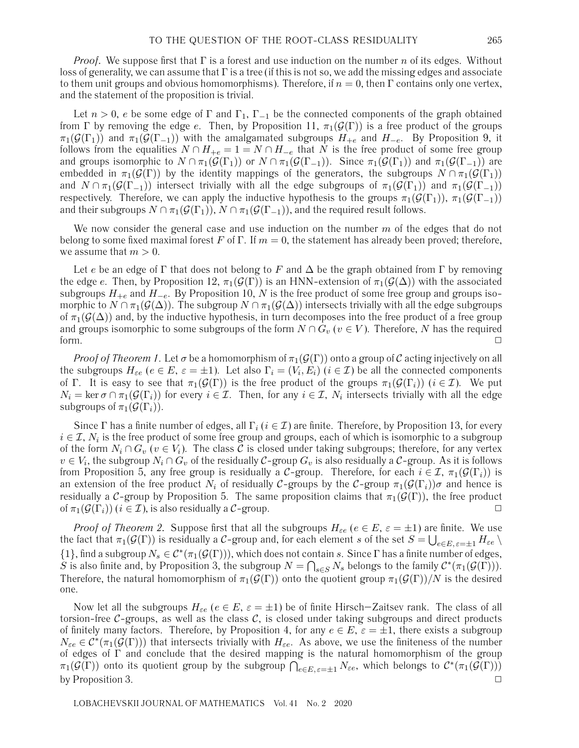*Proof.* We suppose first that  $\Gamma$  is a forest and use induction on the number n of its edges. Without loss of generality, we can assume that  $\Gamma$  is a tree (if this is not so, we add the missing edges and associate to them unit groups and obvious homomorphisms). Therefore, if  $n = 0$ , then  $\Gamma$  contains only one vertex, and the statement of the proposition is trivial.

Let  $n > 0$ , e be some edge of  $\Gamma$  and  $\Gamma_1$ ,  $\Gamma_{-1}$  be the connected components of the graph obtained from Γ by removing the edge e. Then, by Proposition 11,  $\pi_1(\mathcal{G}(\Gamma))$  is a free product of the groups  $\pi_1(\mathcal{G}(\Gamma_1))$  and  $\pi_1(\mathcal{G}(\Gamma_{-1}))$  with the amalgamated subgroups  $H_{+e}$  and  $H_{-e}$ . By Proposition 9, it follows from the equalities  $N \cap H_{+e} = 1 = N \cap H_{-e}$  that N is the free product of some free group and groups isomorphic to  $N \cap \pi_1(\mathcal{G}(\Gamma_1))$  or  $N \cap \pi_1(\mathcal{G}(\Gamma_{-1}))$ . Since  $\pi_1(\mathcal{G}(\Gamma_1))$  and  $\pi_1(\mathcal{G}(\Gamma_{-1}))$  are embedded in  $\pi_1(\mathcal{G}(\Gamma))$  by the identity mappings of the generators, the subgroups  $N \cap \pi_1(\mathcal{G}(\Gamma_1))$ and  $N \cap \pi_1(\mathcal{G}(\Gamma_{-1}))$  intersect trivially with all the edge subgroups of  $\pi_1(\mathcal{G}(\Gamma_1))$  and  $\pi_1(\mathcal{G}(\Gamma_{-1}))$ respectively. Therefore, we can apply the inductive hypothesis to the groups  $\pi_1(\mathcal{G}(\Gamma_1))$ ,  $\pi_1(\mathcal{G}(\Gamma_{-1}))$ and their subgroups  $N \cap \pi_1(\mathcal{G}(\Gamma_1)), N \cap \pi_1(\mathcal{G}(\Gamma_{-1}))$ , and the required result follows.

We now consider the general case and use induction on the number  $m$  of the edges that do not belong to some fixed maximal forest F of  $\Gamma$ . If  $m = 0$ , the statement has already been proved; therefore, we assume that  $m > 0$ .

Let e be an edge of Γ that does not belong to F and  $\Delta$  be the graph obtained from Γ by removing the edge e. Then, by Proposition 12,  $\pi_1(\mathcal{G}(\Gamma))$  is an HNN-extension of  $\pi_1(\mathcal{G}(\Delta))$  with the associated subgroups  $H_{+e}$  and  $H_{-e}$ . By Proposition 10, N is the free product of some free group and groups isomorphic to  $N \cap \pi_1(\mathcal{G}(\Delta))$ . The subgroup  $N \cap \pi_1(\mathcal{G}(\Delta))$  intersects trivially with all the edge subgroups of  $\pi_1(\mathcal{G}(\Delta))$  and, by the inductive hypothesis, in turn decomposes into the free product of a free group and groups isomorphic to some subgroups of the form  $N \cap G_v$  ( $v \in V$ ). Therefore, N has the required form.  $\Box$ 

*Proof of Theorem 1*. Let  $\sigma$  be a homomorphism of  $\pi_1(\mathcal{G}(\Gamma))$  onto a group of C acting injectively on all the subgroups  $H_{\varepsilon e}$  ( $e \in E$ ,  $\varepsilon = \pm 1$ ). Let also  $\Gamma_i = (V_i, E_i)$  ( $i \in \mathcal{I}$ ) be all the connected components of Γ. It is easy to see that  $\pi_1(\mathcal{G}(\Gamma))$  is the free product of the groups  $\pi_1(\mathcal{G}(\Gamma_i))$  ( $i \in \mathcal{I}$ ). We put  $N_i = \ker \sigma \cap \pi_1(\mathcal{G}(\Gamma_i))$  for every  $i \in \mathcal{I}$ . Then, for any  $i \in \mathcal{I}$ ,  $N_i$  intersects trivially with all the edge subgroups of  $\pi_1(\mathcal{G}(\Gamma_i))$ .

Since Γ has a finite number of edges, all  $\Gamma_i$  ( $i \in \mathcal{I}$ ) are finite. Therefore, by Proposition 13, for every  $i \in \mathcal{I}, N_i$  is the free product of some free group and groups, each of which is isomorphic to a subgroup of the form  $N_i \cap G_v$  ( $v \in V_i$ ). The class C is closed under taking subgroups; therefore, for any vertex  $v \in V_i$ , the subgroup  $N_i \cap G_v$  of the residually  $C$ -group  $G_v$  is also residually a  $C$ -group. As it is follows from Proposition 5, any free group is residually a C-group. Therefore, for each  $i \in \mathcal{I}$ ,  $\pi_1(\mathcal{G}(\Gamma_i))$  is an extension of the free product  $N_i$  of residually C-groups by the C-group  $\pi_1(\mathcal{G}(\Gamma_i))\sigma$  and hence is residually a C-group by Proposition 5. The same proposition claims that  $\pi_1(\mathcal{G}(\Gamma))$ , the free product of  $\pi_1(\mathcal{G}(\Gamma_i))$   $(i \in \mathcal{I})$ , is also residually a  $\mathcal{C}$ -group.

*Proof of Theorem 2.* Suppose first that all the subgroups  $H_{\varepsilon e}$  ( $e \in E$ ,  $\varepsilon = \pm 1$ ) are finite. We use the fact that  $\pi_1(\mathcal G(\Gamma))$  is residually a  $\mathcal C$ -group and, for each element  $s$  of the set  $S=\bigcup_{e\in E,\,\varepsilon=\pm 1}H_{\varepsilon e}\setminus\varphi$  $\{1\}$ , find a subgroup  $N_s \in C^*(\pi_1(\mathcal{G}(\Gamma)))$ , which does not contain s. Since  $\Gamma$  has a finite number of edges, S is also finite and, by Proposition 3, the subgroup  $N = \bigcap_{s \in S} N_s$  belongs to the family  $\mathcal{C}^*(\pi_1(\mathcal{G}(\Gamma)))$ . Therefore, the natural homomorphism of  $\pi_1(\mathcal{G}(\Gamma))$  onto the quotient group  $\pi_1(\mathcal{G}(\Gamma))/N$  is the desired one.

Now let all the subgroups  $H_{\varepsilon e}$  ( $e \in E$ ,  $\varepsilon = \pm 1$ ) be of finite Hirsch–Zaitsev rank. The class of all torsion-free  $C$ -groups, as well as the class  $C$ , is closed under taking subgroups and direct products of finitely many factors. Therefore, by Proposition 4, for any  $e \in E$ ,  $\varepsilon = \pm 1$ , there exists a subgroup  $N_{\varepsilon e} \in C^*(\pi_1(\mathcal{G}(\Gamma)))$  that intersects trivially with  $H_{\varepsilon e}$ . As above, we use the finiteness of the number of edges of Γ and conclude that the desired mapping is the natural homomorphism of the group  $\pi_1(\mathcal{G}(\Gamma))$  onto its quotient group by the subgroup  $\bigcap_{e\in E,\,\varepsilon=\pm 1}N_{\varepsilon e}$ , which belongs to  $\mathcal{C}^*(\pi_1(\mathcal{G}(\Gamma)))$ by Proposition 3.  $\Box$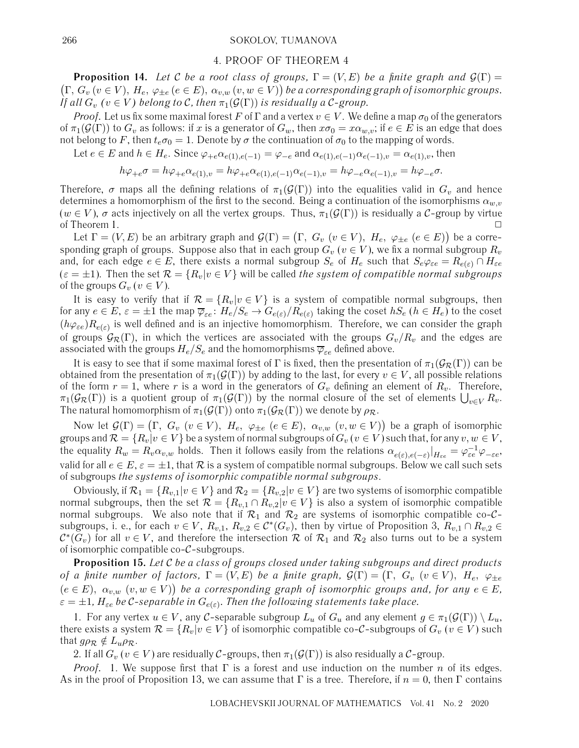#### 266 SOKOLOV, TUMANOVA

#### 4. PROOF OF THEOREM 4

**Proposition 14.** *Let* C *be a root class of groups,*  $\Gamma = (V, E)$  *be a finite graph and*  $\mathcal{G}(\Gamma) =$  $(\Gamma, G_v (v \in V), H_e, \varphi_{\pm e} (e \in E), \alpha_{v,w} (v, w \in V))$  be a corresponding graph of isomorphic groups. *If all*  $G_v$   $(v \in V)$  belong to C, then  $\pi_1(\mathcal{G}(\Gamma))$  is residually a C-group.

*Proof.* Let us fix some maximal forest F of  $\Gamma$  and a vertex  $v \in V$ . We define a map  $\sigma_0$  of the generators of  $\pi_1(\mathcal{G}(\Gamma))$  to  $G_v$  as follows: if x is a generator of  $G_w$ , then  $x\sigma_0 = x\alpha_{w,v}$ ; if  $e \in E$  is an edge that does not belong to F, then  $t_e \sigma_0 = 1$ . Denote by  $\sigma$  the continuation of  $\sigma_0$  to the mapping of words.

Let  $e \in E$  and  $h \in H_e$ . Since  $\varphi_{+e} \alpha_{e(1),e(-1)} = \varphi_{-e}$  and  $\alpha_{e(1),e(-1)} \alpha_{e(-1),v} = \alpha_{e(1),v}$ , then

$$
h\varphi_{+e}\sigma=h\varphi_{+e}\alpha_{e(1),v}=h\varphi_{+e}\alpha_{e(1),e(-1)}\alpha_{e(-1),v}=h\varphi_{-e}\alpha_{e(-1),v}=h\varphi_{-e}\sigma.
$$

Therefore,  $\sigma$  maps all the defining relations of  $\pi_1(\mathcal{G}(\Gamma))$  into the equalities valid in  $G_v$  and hence determines a homomorphism of the first to the second. Being a continuation of the isomorphisms  $\alpha_{w,v}$  $(w \in V)$ ,  $\sigma$  acts injectively on all the vertex groups. Thus,  $\pi_1(\mathcal{G}(\Gamma))$  is residually a C-group by virtue of Theorem 1.  $\Box$ 

Let  $\Gamma=(V,E)$  be an arbitrary graph and  $\mathcal{G}(\Gamma)=\big(\Gamma,\;G_v\;(v\in V),\;H_e,\;\varphi_{\pm e}\;(e\in E)\big)$  be a corresponding graph of groups. Suppose also that in each group  $G_v$  ( $v \in V$ ), we fix a normal subgroup  $R_v$ and, for each edge  $e \in E$ , there exists a normal subgroup  $S_e$  of  $H_e$  such that  $S_e\varphi_{\varepsilon e} = R_{e(\varepsilon)} \cap H_{\varepsilon e}$  $(\varepsilon = \pm 1)$ . Then the set  $\mathcal{R} = \{R_v | v \in V\}$  will be called *the system of compatible normal subgroups* of the groups  $G_v$  ( $v \in V$ ).

It is easy to verify that if  $\mathcal{R} = \{R_v | v \in V\}$  is a system of compatible normal subgroups, then for any  $e \in E$ ,  $\varepsilon = \pm 1$  the map  $\overline{\varphi}_{\varepsilon e}$ :  $H_e/S_e \to G_{e(\varepsilon)}/R_{e(\varepsilon)}$  taking the coset  $hS_e$  ( $h \in H_e$ ) to the coset  $(h\varphi_{\varepsilon e})R_{e(\varepsilon)}$  is well defined and is an injective homomorphism. Therefore, we can consider the graph of groups  $\mathcal{G}_{\mathcal{R}}(\Gamma)$ , in which the vertices are associated with the groups  $G_v/R_v$  and the edges are associated with the groups  $H_e/S_e$  and the homomorphisms  $\overline{\varphi}_{\varepsilon e}$  defined above.

It is easy to see that if some maximal forest of Γ is fixed, then the presentation of  $\pi_1(\mathcal{G}_R(\Gamma))$  can be obtained from the presentation of  $\pi_1(\mathcal{G}(\Gamma))$  by adding to the last, for every  $v \in V$ , all possible relations of the form  $r = 1$ , where r is a word in the generators of  $G_v$  defining an element of  $R_v$ . Therefore,  $\pi_1(\mathcal{G}_{\mathcal{R}}(\Gamma))$  is a quotient group of  $\pi_1(\mathcal{G}(\Gamma))$  by the normal closure of the set of elements  $\bigcup_{v\in V}R_v.$ The natural homomorphism of  $\pi_1(\mathcal{G}(\Gamma))$  onto  $\pi_1(\mathcal{G}_{\mathcal{R}}(\Gamma))$  we denote by  $\rho_{\mathcal{R}}$ .

Now let  $\mathcal{G}(\Gamma) = (\Gamma, G_v \; (v \in V), \; H_e, \; \varphi_{\pm e} \; (e \in E), \; \alpha_{v,w} \; (v,w \in V))$  be a graph of isomorphic groups and  $\mathcal{R} = \{R_v | v \in V\}$  be a system of normal subgroups of  $G_v$  ( $v \in V$ ) such that, for any  $v, w \in V$ , the equality  $R_w=R_v\alpha_{v,w}$  holds. Then it follows easily from the relations  $\alpha_{e(\varepsilon),e(-\varepsilon)}|_{H_{\varepsilon e}}=\varphi^{-1}_{\varepsilon e}\varphi_{-\varepsilon e},$ valid for all  $e \in E$ ,  $\varepsilon = \pm 1$ , that R is a system of compatible normal subgroups. Below we call such sets of subgroups *the systems of isomorphic compatible normal subgroups*.

Obviously, if  $\mathcal{R}_1 = \{R_{v,1}|v \in V\}$  and  $\mathcal{R}_2 = \{R_{v,2}|v \in V\}$  are two systems of isomorphic compatible normal subgroups, then the set  $\mathcal{R} = \{R_{v,1} \cap R_{v,2} | v \in V\}$  is also a system of isomorphic compatible normal subgroups. We also note that if  $\mathcal{R}_1$  and  $\mathcal{R}_2$  are systems of isomorphic compatible co-Csubgroups, i. e., for each  $v \in V$ ,  $R_{v,1}$ ,  $R_{v,2} \in C^*(G_v)$ , then by virtue of Proposition 3,  $R_{v,1} \cap R_{v,2} \in$  $\mathcal{C}^*(G_v)$  for all  $v \in V$ , and therefore the intersection  $\mathcal R$  of  $\mathcal R_1$  and  $\mathcal R_2$  also turns out to be a system of isomorphic compatible co-C-subgroups.

**Proposition 15.** *Let* C *be a class of groups closed under taking subgroups and direct products of a finite number of factors,*  $\Gamma = (V, E)$  *be a finite graph,*  $\mathcal{G}(\Gamma) = (\Gamma, G_v \ (v \in V), H_e, \ \varphi_{\pm e}$  $(e \in E)$ ,  $\alpha_{v,w}(v, w \in V)$  be a corresponding graph of isomorphic groups and, for any  $e \in E$ ,  $\varepsilon = \pm 1$ ,  $H_{\varepsilon e}$  be C-separable in  $G_{e(\varepsilon)}$ . Then the following statements take place.

1. For any vertex  $u \in V$ , any C-separable subgroup  $L_u$  of  $G_u$  and any element  $g \in \pi_1(\mathcal{G}(\Gamma)) \setminus L_u$ , there exists a system  $\mathcal{R} = \{R_v | v \in V\}$  of isomorphic compatible co-C-subgroups of  $G_v$  ( $v \in V$ ) such that  $g\rho_{\mathcal{R}} \notin L_u \rho_{\mathcal{R}}$ .

2. If all  $G_v$  ( $v \in V$ ) are residually C-groups, then  $\pi_1(\mathcal{G}(\Gamma))$  is also residually a C-group.

*Proof.* 1. We suppose first that  $\Gamma$  is a forest and use induction on the number n of its edges. As in the proof of Proposition 13, we can assume that  $\Gamma$  is a tree. Therefore, if  $n = 0$ , then  $\Gamma$  contains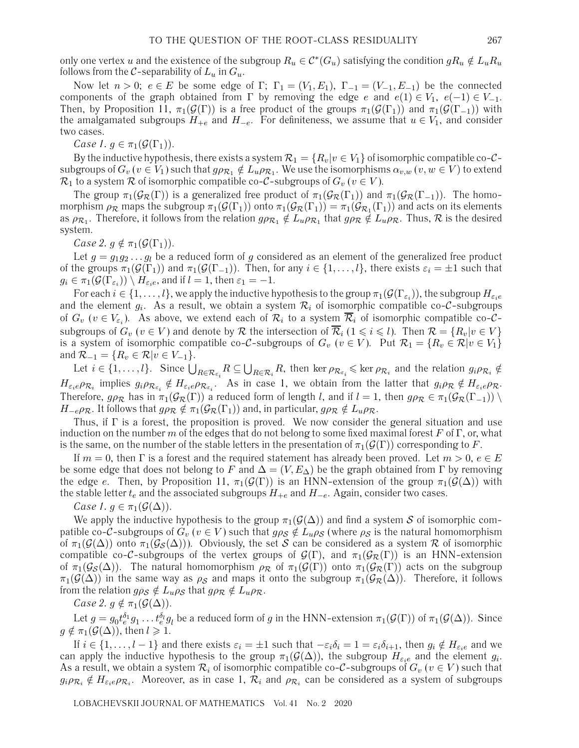only one vertex u and the existence of the subgroup  $R_u \in C^*(G_u)$  satisfying the condition  $gR_u \notin L_uR_u$ follows from the C-separability of  $L_u$  in  $G_u$ .

Now let  $n > 0$ ;  $e \in E$  be some edge of  $\Gamma$ ;  $\Gamma_1 = (V_1, E_1)$ ,  $\Gamma_{-1} = (V_{-1}, E_{-1})$  be the connected components of the graph obtained from  $\Gamma$  by removing the edge e and  $e(1) \in V_1$ ,  $e(-1) \in V_{-1}$ . Then, by Proposition 11,  $\pi_1(\mathcal{G}(\Gamma))$  is a free product of the groups  $\pi_1(\mathcal{G}(\Gamma_1))$  and  $\pi_1(\mathcal{G}(\Gamma_{-1}))$  with the amalgamated subgroups  $H_{+e}$  and  $H_{-e}$ . For definiteness, we assume that  $u \in V_1$ , and consider two cases.

*Case 1.*  $g \in \pi_1(\mathcal{G}(\Gamma_1)).$ 

By the inductive hypothesis, there exists a system  $\mathcal{R}_1 = \{R_v | v \in V_1\}$  of isomorphic compatible co- $\mathcal{C}$ subgroups of  $G_v$  ( $v \in V_1$ ) such that  $g \rho_{\mathcal{R}_1} \notin L_u \rho_{\mathcal{R}_1}$ . We use the isomorphisms  $\alpha_{v,w}$  ( $v,w \in V$ ) to extend  $\mathcal{R}_1$  to a system  $\mathcal R$  of isomorphic compatible co-C-subgroups of  $G_v$  ( $v \in V$ ).

The group  $\pi_1(\mathcal{G}_{\mathcal{R}}(\Gamma))$  is a generalized free product of  $\pi_1(\mathcal{G}_{\mathcal{R}}(\Gamma_1))$  and  $\pi_1(\mathcal{G}_{\mathcal{R}}(\Gamma_{-1}))$ . The homomorphism  $\rho_{\mathcal{R}}$  maps the subgroup  $\pi_1(\mathcal{G}(\Gamma_1))$  onto  $\pi_1(\mathcal{G}_{\mathcal{R}}(\Gamma_1)) = \pi_1(\mathcal{G}_{\mathcal{R}_1}(\Gamma_1))$  and acts on its elements as  $\rho_{\mathcal{R}_1}$ . Therefore, it follows from the relation  $g\rho_{\mathcal{R}_1} \notin L_u \rho_{\mathcal{R}_1}$  that  $g\rho_{\mathcal{R}} \notin L_u \rho_{\mathcal{R}}$ . Thus,  $\mathcal R$  is the desired system.

*Case 2.*  $g \notin \pi_1(\mathcal{G}(\Gamma_1)).$ 

Let  $g = g_1 g_2 \dots g_l$  be a reduced form of g considered as an element of the generalized free product of the groups  $\pi_1(\mathcal{G}(\Gamma_1))$  and  $\pi_1(\mathcal{G}(\Gamma_{-1}))$ . Then, for any  $i \in \{1,\ldots,l\}$ , there exists  $\varepsilon_i = \pm 1$  such that  $g_i \in \pi_1(\mathcal{G}(\Gamma_{\varepsilon_i})) \setminus H_{\varepsilon_i e}$ , and if  $l = 1$ , then  $\varepsilon_1 = -1$ .

For each  $i \in \{1,\ldots,l\}$ , we apply the inductive hypothesis to the group  $\pi_1(\mathcal{G}(\Gamma_{\varepsilon_i}))$ , the subgroup  $H_{\varepsilon_i e}$ and the element  $g_i$ . As a result, we obtain a system  $\mathcal{R}_i$  of isomorphic compatible co-C-subgroups of  $G_v$  ( $v \in V_{\varepsilon_i}$ ). As above, we extend each of  $\mathcal{R}_i$  to a system  $\overline{\mathcal{R}}_i$  of isomorphic compatible co- $\mathcal{C}$ subgroups of  $G_v$   $(v\in V)$  and denote by  ${\cal R}$  the intersection of  $\overline{{\cal R}}_i$   $(1\leqslant i\leqslant l).$  Then  ${\cal R}=\{R_v|v\in V\}$ is a system of isomorphic compatible co-C-subgroups of  $G_v$  ( $v \in V$ ). Put  $\mathcal{R}_1 = \{R_v \in \mathcal{R} | v \in V_1\}$ and  $\mathcal{R}_{-1} = \{ R_v \in \mathcal{R} | v \in V_{-1} \}.$ 

Let  $i \in \{1,\ldots,l\}$ . Since  $\bigcup_{R \in \mathcal{R}_{\varepsilon_i}} R \subseteq \bigcup_{R \in \mathcal{R}_i} R$ , then ker  $\rho_{\mathcal{R}_{\varepsilon_i}} \leqslant \ker \rho_{\mathcal{R}_i}$  and the relation  $g_i \rho_{\mathcal{R}_i} \notin$  $H_{\varepsilon_i e} \rho_{\mathcal{R}_i}$  implies  $g_i \rho_{\mathcal{R}_{\varepsilon_i}} \notin H_{\varepsilon_i e} \rho_{\mathcal{R}_{\varepsilon_i}}.$  As in case 1, we obtain from the latter that  $g_i \rho_{\mathcal{R}} \notin H_{\varepsilon_i e} \rho_{\mathcal{R}}.$ Therefore,  $g \rho_R$  has in  $\pi_1(\mathcal{G}_R(\Gamma))$  a reduced form of length l, and if  $l = 1$ , then  $g \rho_R \in \pi_1(\mathcal{G}_R(\Gamma_{-1})) \setminus$  $H_{-e}\rho_{\mathcal{R}}$ . It follows that  $g\rho_{\mathcal{R}} \notin \pi_1(\mathcal{G}_{\mathcal{R}}(\Gamma_1))$  and, in particular,  $g\rho_{\mathcal{R}} \notin L_u\rho_{\mathcal{R}}$ .

Thus, if  $\Gamma$  is a forest, the proposition is proved. We now consider the general situation and use induction on the number m of the edges that do not belong to some fixed maximal forest F of  $\Gamma$ , or, what is the same, on the number of the stable letters in the presentation of  $\pi_1(\mathcal{G}(\Gamma))$  corresponding to F.

If  $m = 0$ , then  $\Gamma$  is a forest and the required statement has already been proved. Let  $m > 0$ ,  $e \in E$ be some edge that does not belong to F and  $\Delta=(V,E_{\Delta})$  be the graph obtained from Γ by removing the edge e. Then, by Proposition 11,  $\pi_1(\mathcal{G}(\Gamma))$  is an HNN-extension of the group  $\pi_1(\mathcal{G}(\Delta))$  with the stable letter  $t_e$  and the associated subgroups  $H_{+e}$  and  $H_{-e}$ . Again, consider two cases.

*Case 1.*  $g \in \pi_1(\mathcal{G}(\Delta)).$ 

We apply the inductive hypothesis to the group  $\pi_1(\mathcal{G}(\Delta))$  and find a system S of isomorphic compatible co-C-subgroups of  $G_v$  ( $v \in V$ ) such that  $g \rho_S \notin L_u \rho_S$  (where  $\rho_S$  is the natural homomorphism of  $\pi_1(\mathcal{G}(\Delta))$  onto  $\pi_1(\mathcal{G}_{\mathcal{S}}(\Delta))$ . Obviously, the set S can be considered as a system R of isomorphic compatible co-C-subgroups of the vertex groups of  $\mathcal{G}(\Gamma)$ , and  $\pi_1(\mathcal{G}_R(\Gamma))$  is an HNN-extension of  $\pi_1(\mathcal{G}_{\mathcal{S}}(\Delta))$ . The natural homomorphism  $\rho_{\mathcal{R}}$  of  $\pi_1(\mathcal{G}(\Gamma))$  onto  $\pi_1(\mathcal{G}_{\mathcal{R}}(\Gamma))$  acts on the subgroup  $\pi_1(\mathcal{G}(\Delta))$  in the same way as  $\rho_{\mathcal{S}}$  and maps it onto the subgroup  $\pi_1(\mathcal{G}_{\mathcal{R}}(\Delta))$ . Therefore, it follows from the relation  $g\rho_{\mathcal{S}} \notin L_u \rho_{\mathcal{S}}$  that  $g\rho_{\mathcal{R}} \notin L_u \rho_{\mathcal{R}}$ .

*Case 2.*  $g \notin \pi_1(\mathcal{G}(\Delta)).$ 

Let  $g=g_0t_e^{\delta_1}g_1\ldots t_e^{\delta_l}g_l$  be a reduced form of  $g$  in the HNN-extension  $\pi_1(\mathcal{G}(\Gamma))$  of  $\pi_1(\mathcal{G}(\Delta)).$  Since  $g \notin \pi_1(\mathcal{G}(\Delta))$ , then  $l \geq 1$ .

If  $i \in \{1,\ldots,l-1\}$  and there exists  $\varepsilon_i = \pm 1$  such that  $-\varepsilon_i \delta_i = 1 = \varepsilon_i \delta_{i+1}$ , then  $g_i \notin H_{\varepsilon_i e}$  and we can apply the inductive hypothesis to the group  $\pi_1(\mathcal{G}(\Delta))$ , the subgroup  $H_{\varepsilon_i}$  and the element  $g_i$ . As a result, we obtain a system  $\mathcal{R}_i$  of isomorphic compatible co-C-subgroups of  $G_v$  ( $v \in V$ ) such that  $g_i \rho_{\mathcal{R}_i} \notin H_{\varepsilon_i e} \rho_{\mathcal{R}_i}$ . Moreover, as in case 1,  $\mathcal{R}_i$  and  $\rho_{\mathcal{R}_i}$  can be considered as a system of subgroups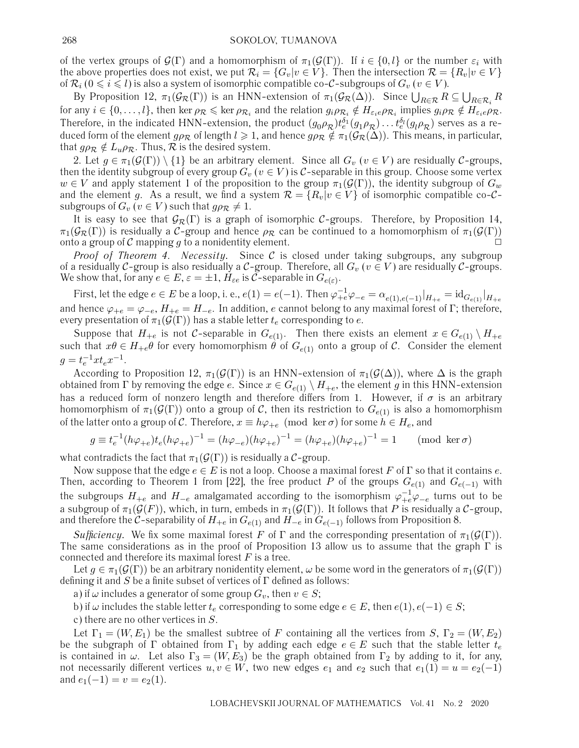of the vertex groups of  $\mathcal{G}(\Gamma)$  and a homomorphism of  $\pi_1(\mathcal{G}(\Gamma))$ . If  $i \in \{0, l\}$  or the number  $\varepsilon_i$  with the above properties does not exist, we put  $\mathcal{R}_i = \{G_v | v \in V\}$ . Then the intersection  $\mathcal{R} = \{R_v | v \in V\}$ of  $\mathcal{R}_i$  ( $0\leqslant i\leqslant l$ ) is also a system of isomorphic compatible co-C-subgroups of  $G_v$  (  $v\in V$  ).

By Proposition 12,  $\pi_1(\mathcal{G}_R(\Gamma))$  is an HNN-extension of  $\pi_1(\mathcal{G}_R(\Delta))$ . Since  $\bigcup_{R\in\mathcal{R}}R\subseteq\bigcup_{R\in\mathcal{R}_i}R$ for any  $i \in \{0,\ldots,l\}$ , then ker  $\rho_{\mathcal{R}} \leqslant \ker \rho_{\mathcal{R}_i}$  and the relation  $g_i \rho_{\mathcal{R}_i} \notin H_{\varepsilon_i e} \rho_{\mathcal{R}_i}$  implies  $g_i \rho_{\mathcal{R}} \notin H_{\varepsilon_i e} \rho_{\mathcal{R}}$ . Therefore, in the indicated HNN-extension, the product  $(g_0\rho_\mathcal{R})t_e^{\delta_1}(g_1\rho_\mathcal{R})\ldots t_e^{\delta_l}(g_l\rho_\mathcal{R})$  serves as a reduced form of the element  $g_{\rho_R}$  of length  $l \geq 1$ , and hence  $g_{\rho_R} \notin \pi_1(\mathcal{G}_R(\Delta))$ . This means, in particular, that  $g \rho_{\mathcal{R}} \notin L_u \rho_{\mathcal{R}}$ . Thus,  $\mathcal R$  is the desired system.

2. Let  $g \in \pi_1(\mathcal{G}(\Gamma)) \setminus \{1\}$  be an arbitrary element. Since all  $G_v$   $(v \in V)$  are residually  $\mathcal{C}$ -groups, then the identity subgroup of every group  $G_v$  ( $v \in V$ ) is C-separable in this group. Choose some vertex  $w \in V$  and apply statement 1 of the proposition to the group  $\pi_1(\mathcal{G}(\Gamma))$ , the identity subgroup of  $G_w$ and the element g. As a result, we find a system  $\mathcal{R} = \{R_v | v \in V\}$  of isomorphic compatible co-Csubgroups of  $G_v$  ( $v \in V$ ) such that  $g \rho_{\mathcal{R}} \neq 1$ .

It is easy to see that  $G_{\mathcal{R}}(\Gamma)$  is a graph of isomorphic C-groups. Therefore, by Proposition 14,  $\pi_1(\mathcal{G}_\mathcal{R}(\Gamma))$  is residually a C-group and hence  $\rho_\mathcal{R}$  can be continued to a homomorphism of  $\pi_1(\mathcal{G}(\Gamma))$ onto a group of  $C$  mapping  $g$  to a nonidentity element.

*Proof of Theorem 4. Necessity.* Since C is closed under taking subgroups, any subgroup of a residually C-group is also residually a C-group. Therefore, all  $G_v$  ( $v \in V$ ) are residually C-groups. We show that, for any  $e \in E$ ,  $\varepsilon = \pm 1$ ,  $H_{\varepsilon e}$  is C-separable in  $G_{e(\varepsilon)}$ .

First, let the edge  $e \in E$  be a loop, i. e.,  $e(1) = e(-1)$ . Then  $\varphi_{+e}^{-1} \varphi_{-e} = \alpha_{e(1), e(-1)}|_{H_{+e}} = \mathrm{id}_{G_{e(1)}}|_{H_{+e}}$ and hence  $\varphi_{+e} = \varphi_{-e}$ ,  $H_{+e} = H_{-e}$ . In addition, e cannot belong to any maximal forest of Γ; therefore, every presentation of  $\pi_1(\mathcal{G}(\Gamma))$  has a stable letter  $t_e$  corresponding to e.

Suppose that  $H_{+e}$  is not C-separable in  $G_{e(1)}$ . Then there exists an element  $x \in G_{e(1)} \setminus H_{+e}$ such that  $x\theta \in H_{+e}\theta$  for every homomorphism  $\theta$  of  $G_{e(1)}$  onto a group of C. Consider the element  $g = t_e^{-1} x t_e x^{-1}.$ 

According to Proposition 12,  $\pi_1(\mathcal{G}(\Gamma))$  is an HNN-extension of  $\pi_1(\mathcal{G}(\Delta))$ , where  $\Delta$  is the graph obtained from Γ by removing the edge e. Since  $x \in G_{e(1)} \setminus H_{+e}$ , the element g in this HNN-extension has a reduced form of nonzero length and therefore differs from 1. However, if  $\sigma$  is an arbitrary homomorphism of  $\pi_1(\mathcal{G}(\Gamma))$  onto a group of C, then its restriction to  $G_{e(1)}$  is also a homomorphism of the latter onto a group of C. Therefore,  $x \equiv h\varphi_{+e} \pmod{\ker \sigma}$  for some  $h \in H_e$ , and

$$
g \equiv t_e^{-1} (h\varphi_{+e}) t_e (h\varphi_{+e})^{-1} = (h\varphi_{-e}) (h\varphi_{+e})^{-1} = (h\varphi_{+e}) (h\varphi_{+e})^{-1} = 1 \quad \pmod{\ker \sigma}
$$

what contradicts the fact that  $\pi_1(\mathcal{G}(\Gamma))$  is residually a C-group.

Now suppose that the edge  $e \in E$  is not a loop. Choose a maximal forest F of  $\Gamma$  so that it contains e. Then, according to Theorem 1 from [22], the free product P of the groups  $G_{e(1)}$  and  $G_{e(-1)}$  with the subgroups  $H_{+e}$  and  $H_{-e}$  amalgamated according to the isomorphism  $\varphi^{-1}_{+e}\varphi_{-e}$  turns out to be a subgroup of  $\pi_1(\mathcal{G}(F))$ , which, in turn, embeds in  $\pi_1(\mathcal{G}(\Gamma))$ . It follows that P is residually a C-group, and therefore the C-separability of  $H_{+e}$  in  $G_{e(1)}$  and  $H_{-e}$  in  $G_{e(-1)}$  follows from Proposition 8.

*Sufficiency.* We fix some maximal forest F of  $\Gamma$  and the corresponding presentation of  $\pi_1(\mathcal{G}(\Gamma))$ . The same considerations as in the proof of Proposition 13 allow us to assume that the graph  $\Gamma$  is connected and therefore its maximal forest  $F$  is a tree.

Let  $g \in \pi_1(\mathcal{G}(\Gamma))$  be an arbitrary nonidentity element,  $\omega$  be some word in the generators of  $\pi_1(\mathcal{G}(\Gamma))$ defining it and  $S$  be a finite subset of vertices of  $\Gamma$  defined as follows:

a) if  $\omega$  includes a generator of some group  $G_v$ , then  $v \in S$ ;

b) if  $\omega$  includes the stable letter  $t_e$  corresponding to some edge  $e \in E$ , then  $e(1), e(-1) \in S$ ;

c) there are no other vertices in S.

Let  $\Gamma_1 = (W, E_1)$  be the smallest subtree of F containing all the vertices from S,  $\Gamma_2 = (W, E_2)$ be the subgraph of Γ obtained from Γ<sub>1</sub> by adding each edge  $e \in E$  such that the stable letter  $t_e$ is contained in  $\omega$ . Let also  $\Gamma_3 = (W, E_3)$  be the graph obtained from  $\Gamma_2$  by adding to it, for any, not necessarily different vertices  $u, v \in W$ , two new edges  $e_1$  and  $e_2$  such that  $e_1(1) = u = e_2(-1)$ and  $e_1(-1) = v = e_2(1)$ .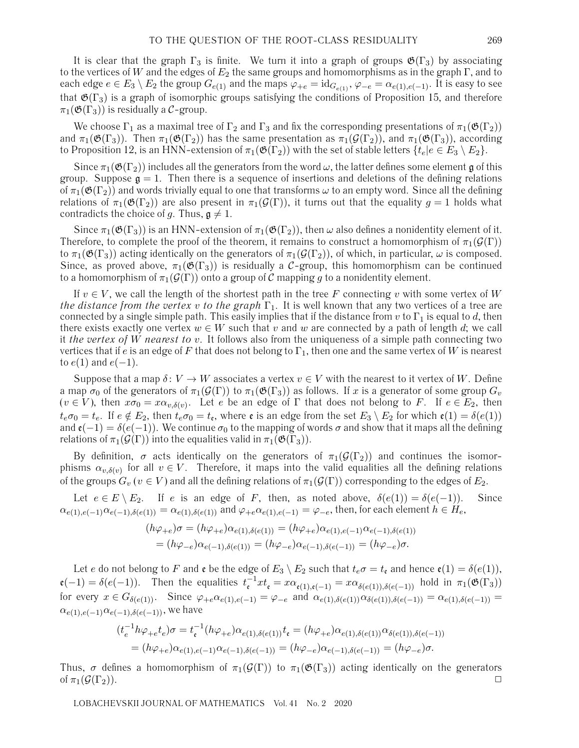It is clear that the graph  $\Gamma_3$  is finite. We turn it into a graph of groups  $\mathfrak{G}(\Gamma_3)$  by associating to the vertices of W and the edges of  $E_2$  the same groups and homomorphisms as in the graph  $\Gamma$ , and to each edge  $e \in E_3 \setminus E_2$  the group  $G_{e(1)}$  and the maps  $\varphi_{+e} = id_{G_{e(1)}}, \varphi_{-e} = \alpha_{e(1),e(-1)}$ . It is easy to see that  $\mathfrak{G}(\Gamma_3)$  is a graph of isomorphic groups satisfying the conditions of Proposition 15, and therefore  $\pi_1(\mathfrak{G}(\Gamma_3))$  is residually a C-group.

We choose  $\Gamma_1$  as a maximal tree of  $\Gamma_2$  and  $\Gamma_3$  and fix the corresponding presentations of  $\pi_1(\mathfrak{G}(\Gamma_2))$ and  $\pi_1(\mathfrak{G}(\Gamma_3))$ . Then  $\pi_1(\mathfrak{G}(\Gamma_2))$  has the same presentation as  $\pi_1(\mathcal{G}(\Gamma_2))$ , and  $\pi_1(\mathfrak{G}(\Gamma_3))$ , according to Proposition 12, is an HNN-extension of  $\pi_1(\mathfrak{G}(\Gamma_2))$  with the set of stable letters  $\{t_e | e \in E_3 \setminus E_2\}$ .

Since  $\pi_1(\mathfrak{G}(\Gamma_2))$  includes all the generators from the word  $\omega$ , the latter defines some element g of this group. Suppose  $\mathfrak{g} = 1$ . Then there is a sequence of insertions and deletions of the defining relations of  $\pi_1(\mathfrak{G}(\Gamma_2))$  and words trivially equal to one that transforms  $\omega$  to an empty word. Since all the defining relations of  $\pi_1(\mathfrak{G}(\Gamma_2))$  are also present in  $\pi_1(\mathcal{G}(\Gamma))$ , it turns out that the equality  $g = 1$  holds what contradicts the choice of g. Thus,  $\mathfrak{g} \neq 1$ .

Since  $\pi_1(\mathfrak{G}(\Gamma_3))$  is an HNN-extension of  $\pi_1(\mathfrak{G}(\Gamma_2))$ , then  $\omega$  also defines a nonidentity element of it. Therefore, to complete the proof of the theorem, it remains to construct a homomorphism of  $\pi_1(\mathcal{G}(\Gamma))$ to  $\pi_1(\mathfrak{G}(\Gamma_3))$  acting identically on the generators of  $\pi_1(\mathcal{G}(\Gamma_2))$ , of which, in particular,  $\omega$  is composed. Since, as proved above,  $\pi_1(\mathfrak{G}(\Gamma_3))$  is residually a C-group, this homomorphism can be continued to a homomorphism of  $\pi_1(\mathcal{G}(\Gamma))$  onto a group of C mapping q to a nonidentity element.

If  $v \in V$ , we call the length of the shortest path in the tree F connecting v with some vertex of W *the distance from the vertex v to the graph*  $\Gamma_1$ . It is well known that any two vertices of a tree are connected by a single simple path. This easily implies that if the distance from v to  $\Gamma_1$  is equal to d, then there exists exactly one vertex  $w \in W$  such that v and w are connected by a path of length d; we call it *the vertex of* W *nearest to* v. It follows also from the uniqueness of a simple path connecting two vertices that if e is an edge of F that does not belong to  $\Gamma_1$ , then one and the same vertex of W is nearest to  $e(1)$  and  $e(-1)$ .

Suppose that a map  $\delta: V \to W$  associates a vertex  $v \in V$  with the nearest to it vertex of W. Define a map  $\sigma_0$  of the generators of  $\pi_1(\mathcal{G}(\Gamma))$  to  $\pi_1(\mathfrak{G}(\Gamma_3))$  as follows. If x is a generator of some group  $G_v$  $(v \in V)$ , then  $x\sigma_0 = x\alpha_{v,\delta(v)}$ . Let e be an edge of Γ that does not belong to F. If  $e \in E_2$ , then  $t_e \sigma_0 = t_e$ . If  $e \notin E_2$ , then  $t_e \sigma_0 = t_e$ , where  $\mathfrak{e}$  is an edge from the set  $E_3 \setminus E_2$  for which  $\mathfrak{e}(1) = \delta(e(1))$ and  $\mathfrak{e}(-1) = \delta(e(-1))$ . We continue  $\sigma_0$  to the mapping of words  $\sigma$  and show that it maps all the defining relations of  $\pi_1(\mathcal{G}(\Gamma))$  into the equalities valid in  $\pi_1(\mathfrak{G}(\Gamma_3))$ .

By definition,  $\sigma$  acts identically on the generators of  $\pi_1(\mathcal{G}(\Gamma_2))$  and continues the isomorphisms  $\alpha_{v,\delta(v)}$  for all  $v \in V$ . Therefore, it maps into the valid equalities all the defining relations of the groups  $G_v$  ( $v \in V$ ) and all the defining relations of  $\pi_1(\mathcal{G}(\Gamma))$  corresponding to the edges of  $E_2$ .

Let  $e \in E \setminus E_2$ . If e is an edge of F, then, as noted above,  $\delta(e(1)) = \delta(e(-1))$ . Since  $\alpha_{e(1),e(-1)}\alpha_{e(-1),\delta(e(1))} = \alpha_{e(1),\delta(e(1))}$  and  $\varphi_{+e}\alpha_{e(1),e(-1)} = \varphi_{-e}$ , then, for each element  $h \in H_e$ ,

$$
(h\varphi_{+e})\sigma = (h\varphi_{+e})\alpha_{e(1),\delta(e(1))} = (h\varphi_{+e})\alpha_{e(1),e(-1)}\alpha_{e(-1),\delta(e(1))}
$$
  
=  $(h\varphi_{-e})\alpha_{e(-1),\delta(e(1))} = (h\varphi_{-e})\alpha_{e(-1),\delta(e(-1))} = (h\varphi_{-e})\sigma.$ 

Let e do not belong to F and **e** be the edge of  $E_3 \setminus E_2$  such that  $t_e \sigma = t_e$  and hence  $\mathfrak{e}(1) = \delta(e(1))$ ,  $\mathfrak{e}(-1) = \delta(e(-1))$ . Then the equalities  $t_{\mathfrak{e}}^{-1}xt_{\mathfrak{e}} = x\alpha_{\mathfrak{e}(1),\mathfrak{e}(-1)} = x\alpha_{\delta(e(1)),\delta(e(-1))}$  hold in  $\pi_1(\mathfrak{G}(\Gamma_3))$ for every  $x \in G_{\delta(e(1))}$ . Since  $\varphi_{+e} \alpha_{e(1),e(-1)} = \varphi_{-e}$  and  $\alpha_{e(1),\delta(e(1))} \alpha_{\delta(e(1)),\delta(e(-1))} = \alpha_{e(1),\delta(e(-1))} = \alpha_{e(1),\delta(e(-1))}$  $\alpha_{e(1),e(-1)}\alpha_{e(-1),\delta(e(-1))}$ , we have

$$
(t_e^{-1}h\varphi_{+e}t_e)\sigma = t_e^{-1}(h\varphi_{+e})\alpha_{e(1),\delta(e(1))}t_e = (h\varphi_{+e})\alpha_{e(1),\delta(e(1))}\alpha_{\delta(e(1)),\delta(e(-1))}
$$
  
=  $(h\varphi_{+e})\alpha_{e(1),e(-1)}\alpha_{e(-1),\delta(e(-1))} = (h\varphi_{-e})\alpha_{e(-1),\delta(e(-1))} = (h\varphi_{-e})\sigma.$ 

Thus,  $\sigma$  defines a homomorphism of  $\pi_1(\mathcal{G}(\Gamma))$  to  $\pi_1(\mathfrak{G}(\Gamma_3))$  acting identically on the generators of  $\pi_1(\mathcal{G}(\Gamma_2))$ .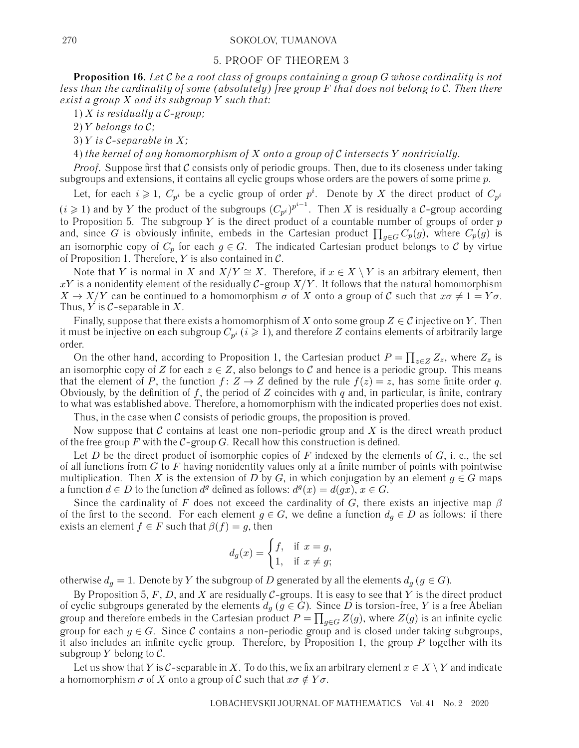#### 270 SOKOLOV, TUMANOVA

#### 5. PROOF OF THEOREM 3

**Proposition 16.** *Let* C *be a root class of groups containing a group* G *whose cardinality is not less than the cardinality of some (absolutely) free group* F *that does not belong to* C*. Then there exist a group* X *and its subgroup* Y *such that:*

1) X *is residually a* C*-group;*

2) Y *belongs to* C*;*

3) Y *is* C*-separable in* X*;*

4) *the kernel of any homomorphism of* X *onto a group of* C *intersects* Y *nontrivially.*

Proof. Suppose first that C consists only of periodic groups. Then, due to its closeness under taking subgroups and extensions, it contains all cyclic groups whose orders are the powers of some prime p.

Let, for each  $i\geqslant 1, \; C_{p^i}$  be a cyclic group of order  $p^i.$  Denote by  $X$  the direct product of  $C_{p^i}$  $(i\geqslant 1)$  and by  $Y$  the product of the subgroups  $(C_{p^i})^{p^{i-1}}.$  Then  $X$  is residually a  $\mathcal C$ -group according to Proposition 5. The subgroup Y is the direct product of a countable number of groups of order  $p$ and, since  $G$  is obviously infinite, embeds in the Cartesian product  $\prod_{g\in G}C_p(g),$  where  $C_p(g)$  is an isomorphic copy of  $C_p$  for each  $g \in G$ . The indicated Cartesian product belongs to C by virtue of Proposition 1. Therefore,  $Y$  is also contained in  $\mathcal{C}$ .

Note that Y is normal in X and  $X/Y \cong X$ . Therefore, if  $x \in X \setminus Y$  is an arbitrary element, then xY is a nonidentity element of the residually C-group  $X/Y$ . It follows that the natural homomorphism  $X \to X/Y$  can be continued to a homomorphism  $\sigma$  of X onto a group of C such that  $x\sigma \neq 1=Y\sigma$ . Thus,  $Y$  is  $C$ -separable in  $X$ .

Finally, suppose that there exists a homomorphism of X onto some group  $Z \in \mathcal{C}$  injective on Y. Then it must be injective on each subgroup  $C_{p^i}$  ( $i \geq 1$ ), and therefore Z contains elements of arbitrarily large order.

On the other hand, according to Proposition 1, the Cartesian product  $P = \prod_{z \in Z} Z_z$ , where  $Z_z$  is an isomorphic copy of Z for each  $z \in Z$ , also belongs to C and hence is a periodic group. This means that the element of P, the function  $f: Z \to Z$  defined by the rule  $f(z) = z$ , has some finite order q. Obviously, by the definition of f, the period of Z coincides with q and, in particular, is finite, contrary to what was established above. Therefore, a homomorphism with the indicated properties does not exist.

Thus, in the case when  $C$  consists of periodic groups, the proposition is proved.

Now suppose that  $\mathcal C$  contains at least one non-periodic group and  $X$  is the direct wreath product of the free group F with the  $C$ -group G. Recall how this construction is defined.

Let D be the direct product of isomorphic copies of F indexed by the elements of  $G$ , i. e., the set of all functions from  $G$  to  $F$  having nonidentity values only at a finite number of points with pointwise multiplication. Then X is the extension of D by G, in which conjugation by an element  $g \in G$  maps a function  $d \in D$  to the function  $d^g$  defined as follows:  $d^g(x) = d(gx), x \in G$ .

Since the cardinality of F does not exceed the cardinality of G, there exists an injective map  $\beta$ of the first to the second. For each element  $g \in G$ , we define a function  $d_g \in D$  as follows: if there exists an element  $f \in F$  such that  $\beta(f) = g$ , then

$$
d_g(x) = \begin{cases} f, & \text{if } x = g, \\ 1, & \text{if } x \neq g; \end{cases}
$$

otherwise  $d_g = 1$ . Denote by Y the subgroup of D generated by all the elements  $d_g$  ( $g \in G$ ).

By Proposition 5, F, D, and X are residually  $C$ -groups. It is easy to see that Y is the direct product of cyclic subgroups generated by the elements  $d_g$  ( $g \in G$ ). Since D is torsion-free, Y is a free Abelian group and therefore embeds in the Cartesian product  $P=\prod_{g\in G}Z(g)$ , where  $Z(g)$  is an infinite cyclic group for each  $g \in G$ . Since C contains a non-periodic group and is closed under taking subgroups, it also includes an infinite cyclic group. Therefore, by Proposition 1, the group  $P$  together with its subgroup  $Y$  belong to  $\mathcal{C}$ .

Let us show that Y is C-separable in X. To do this, we fix an arbitrary element  $x \in X \ Y$  and indicate a homomorphism  $\sigma$  of X onto a group of C such that  $x\sigma \notin Y\sigma$ .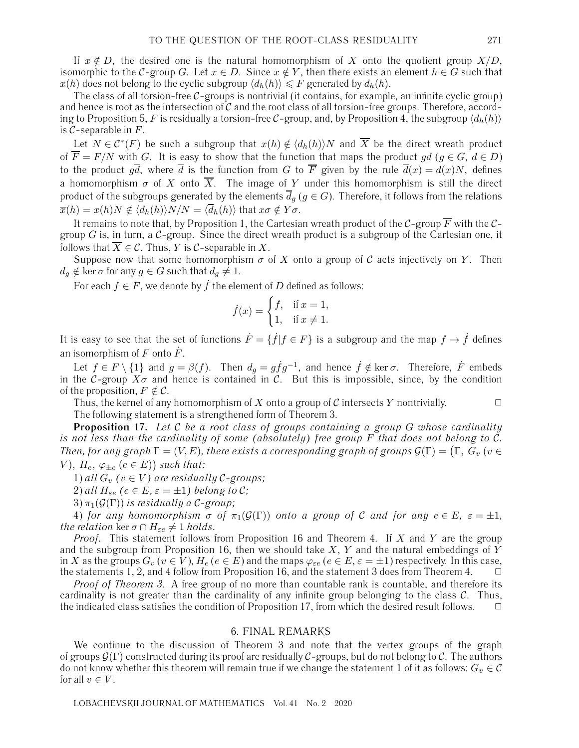If  $x \notin D$ , the desired one is the natural homomorphism of X onto the quotient group  $X/D$ , isomorphic to the C-group G. Let  $x \in D$ . Since  $x \notin Y$ , then there exists an element  $h \in G$  such that  $x(h)$  does not belong to the cyclic subgroup  $\langle d_h(h) \rangle \leqslant F$  generated by  $d_h(h)$ .

The class of all torsion-free  $C$ -groups is nontrivial (it contains, for example, an infinite cyclic group) and hence is root as the intersection of  $C$  and the root class of all torsion-free groups. Therefore, according to Proposition 5, F is residually a torsion-free C-group, and, by Proposition 4, the subgroup  $\langle d_h(h) \rangle$ is  $C$ -separable in  $F$ .

Let  $N \in \mathcal{C}^*(F)$  be such a subgroup that  $x(h) \notin \langle d_h(h) \rangle N$  and  $\overline{X}$  be the direct wreath product of  $\overline{F} = F/N$  with G. It is easy to show that the function that maps the product gd (g  $\in G$ ,  $d \in D$ ) to the product  $g\overline{d}$ , where  $\overline{d}$  is the function from G to  $\overline{F}$  given by the rule  $\overline{d}(x) = d(x)N$ , defines a homomorphism  $\sigma$  of X onto  $\overline{X}$ . The image of Y under this homomorphism is still the direct product of the subgroups generated by the elements  $\overline{d}_g$  ( $g \in G$ ). Therefore, it follows from the relations  $\overline{x}(h) = x(h)N \notin \langle d_h(h) \rangle N/N = \langle \overline{d}_h(h) \rangle$  that  $x\sigma \notin Y\sigma$ .

It remains to note that, by Proposition 1, the Cartesian wreath product of the C-group  $\overline{F}$  with the Cgroup G is, in turn, a  $C$ -group. Since the direct wreath product is a subgroup of the Cartesian one, it follows that  $\overline{X} \in \mathcal{C}$ . Thus, Y is C-separable in X.

Suppose now that some homomorphism  $\sigma$  of X onto a group of C acts injectively on Y. Then  $d_q \notin \ker \sigma$  for any  $g \in G$  such that  $d_q \neq 1$ .

For each  $f \in F$ , we denote by  $\dot{f}$  the element of D defined as follows:

$$
\dot{f}(x) = \begin{cases} f, & \text{if } x = 1, \\ 1, & \text{if } x \neq 1. \end{cases}
$$

It is easy to see that the set of functions  $\dot{F} = \{f | f \in F\}$  is a subgroup and the map  $f \to \dot{f}$  defines an isomorphism of  $F$  onto  $\dot{F}$ .

Let  $f \in F \setminus \{1\}$  and  $g = \beta(f)$ . Then  $d_g = g \dot{f} g^{-1}$ , and hence  $\dot{f} \notin \text{ker } \sigma$ . Therefore,  $\dot{F}$  embeds in the C-group  $X\sigma$  and hence is contained in C. But this is impossible, since, by the condition of the proposition,  $F \notin \mathcal{C}$ .

Thus, the kernel of any homomorphism of X onto a group of C intersects Y nontrivially. The following statement is a strengthened form of Theorem 3.

**Proposition 17.** *Let* C *be a root class of groups containing a group* G *whose cardinality is not less than the cardinality of some (absolutely) free group* F *that does not belong to C*. Then, for any graph  $\Gamma=(V,E)$ , there exists a corresponding graph of groups  $\mathcal{G}(\Gamma) = \big( \Gamma,\ G_v\ (v\in$  $V$ ),  $H_e$ ,  $\varphi_{\pm e}$   $(e \in E)$ ) such that:

1) *all*  $G_v$   $(v \in V)$  are residually C-groups;

2) *all*  $H_{\varepsilon e}$  ( $e \in E$ ,  $\varepsilon = \pm 1$ ) belong to C;

3)  $\pi_1(\mathcal{G}(\Gamma))$  *is residually a C-group*;

4) *for any homomorphism*  $\sigma$  *of*  $\pi_1(\mathcal{G}(\Gamma))$  *onto a group of* C *and for any*  $e \in E$ *,*  $\varepsilon = \pm 1$ *, the relation* ker  $\sigma \cap H_{\epsilon e} \neq 1$  *holds.* 

*Proof.* This statement follows from Proposition 16 and Theorem 4. If X and Y are the group and the subgroup from Proposition 16, then we should take X, Y and the natural embeddings of  $\overline{Y}$ in X as the groups  $G_v$  ( $v \in V$ ),  $H_e$  ( $e \in E$ ) and the maps  $\varphi_{\varepsilon e}$  ( $e \in E$ ,  $\varepsilon = \pm 1$ ) respectively. In this case, the statements 1, 2, and 4 follow from Proposition 16, and the statement 3 does from Theorem 4.

*Proof of Theorem 3*. A free group of no more than countable rank is countable, and therefore its cardinality is not greater than the cardinality of any infinite group belonging to the class  $\mathcal{C}$ . Thus, the indicated class satisfies the condition of Proposition 17, from which the desired result follows.

#### 6. FINAL REMARKS

We continue to the discussion of Theorem 3 and note that the vertex groups of the graph of groups  $\mathcal{G}(\Gamma)$  constructed during its proof are residually C-groups, but do not belong to C. The authors do not know whether this theorem will remain true if we change the statement 1 of it as follows:  $G_v \in \mathcal{C}$ for all  $v \in V$ .